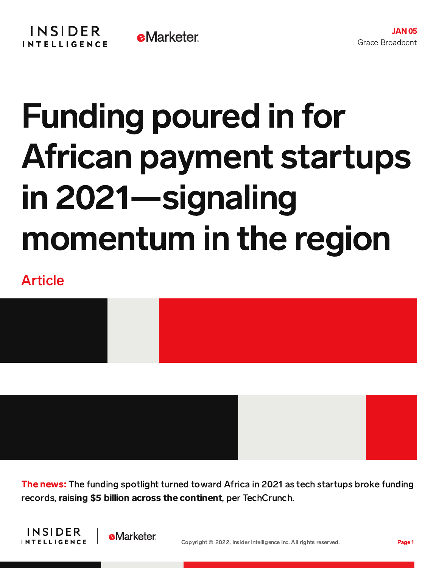## Funding poured in for African payment startups in 2021—signaling momentum in the region

## Article



**The news:** The funding spotlight turned toward Africa in 2021 as tech startups broke funding records, raising \$5 billion across the continent, per TechCrunch.



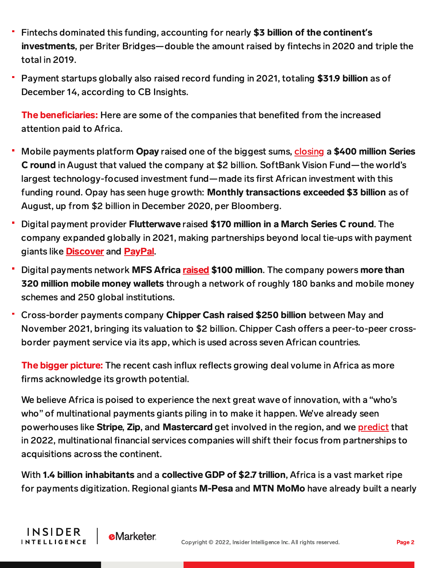- Fintechs dominated this funding, accounting for nearly \$3 billion of the continent**'**s investments, per Briter Bridges—double the amount raised by fintechs in 2020 and triple the total in 2019.
- Payment startups globally also raised record funding in 2021, totaling \$31.9 billion as of December 14, according to CB Insights.

The beneficiaries: Here are some of the companies that benefited from the increased attention paid to Africa.

- Mobile payments platform Opay raised one of the biggest sums, [closing](https://content-na1.emarketer.com/funding-snapshot-opay-zepz) a \$400 million Series C round in August that valued the company at \$2 billion. SoftBank Vision Fund—the world's largest technology-focused investment fund—made its first African investment with this funding round. Opay has seen huge growth: Monthly transactions exceeded \$3 billion as of August, up from \$2 billion in December 2020, per Bloomberg.
- Digital payment provider Flutterwave raised \$170 million in a March Series C round. The company expanded globally in 2021, making partnerships beyond local tie-ups with payment giants like **[Discover](https://content-na1.emarketer.com/discover-flutterwave-partner-expand-payment-acceptance)** and **[PayPal](https://content-na1.emarketer.com/flutterwave-brings-paypal-services-africa)**.
- Digital payments network MFS Africa [raised](https://content-na1.emarketer.com/funding-snapshot-zilch-mfs-africa) \$100 million. The company powers more than 320 million mobile money wallets through a network of roughly 180 banks and mobile money schemes and 250 global institutions.
- Cross-border payments company Chipper Cash raised \$250 billion between May and November 2021, bringing its valuation to \$2 billion. Chipper Cash offers a peer-to-peer crossborder payment service via its app, which is used across seven African countries.

**The bigger picture:** The recent cash influx reflects growing deal volume in Africa as more firms acknowledge its growth potential.

We believe Africa is poised to experience the next great wave of innovation, with a "who's who" of multinational payments giants piling in to make it happen. We've already seen powerhouses like Stripe, Zip, and Mastercard get involved in the region, and we [predict](https://content-na1.emarketer.com/insider-intelligence-payments-trends-watch-2022) that in 2022, multinational financial services companies will shift their focus from partnerships to acquisitions across the continent.

With 1.4 billion inhabitants and a collective GDP of \$2.7 trillion, Africa is a vast market ripe for payments digitization. Regional giants M-Pesa and MTN MoMo have already built a nearly

**INSIDER** 

**INTELLIGENCE** 

**e**Marketer